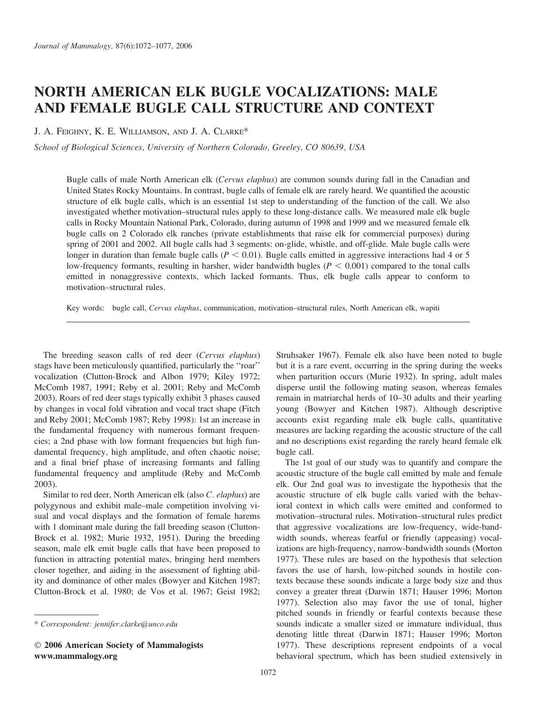# NORTH AMERICAN ELK BUGLE VOCALIZATIONS: MALE AND FEMALE BUGLE CALL STRUCTURE AND CONTEXT

J. A. FEIGHNY, K. E. WILLIAMSON, AND J. A. CLARKE\*

School of Biological Sciences, University of Northern Colorado, Greeley, CO 80639, USA

Bugle calls of male North American elk (Cervus elaphus) are common sounds during fall in the Canadian and United States Rocky Mountains. In contrast, bugle calls of female elk are rarely heard. We quantified the acoustic structure of elk bugle calls, which is an essential 1st step to understanding of the function of the call. We also investigated whether motivation–structural rules apply to these long-distance calls. We measured male elk bugle calls in Rocky Mountain National Park, Colorado, during autumn of 1998 and 1999 and we measured female elk bugle calls on 2 Colorado elk ranches (private establishments that raise elk for commercial purposes) during spring of 2001 and 2002. All bugle calls had 3 segments: on-glide, whistle, and off-glide. Male bugle calls were longer in duration than female bugle calls ( $P < 0.01$ ). Bugle calls emitted in aggressive interactions had 4 or 5 low-frequency formants, resulting in harsher, wider bandwidth bugles ( $P < 0.001$ ) compared to the tonal calls emitted in nonaggressive contexts, which lacked formants. Thus, elk bugle calls appear to conform to motivation–structural rules.

Key words: bugle call, Cervus elaphus, communication, motivation–structural rules, North American elk, wapiti

The breeding season calls of red deer (Cervus elaphus) stags have been meticulously quantified, particularly the ''roar'' vocalization (Clutton-Brock and Albon 1979; Kiley 1972; McComb 1987, 1991; Reby et al. 2001; Reby and McComb 2003). Roars of red deer stags typically exhibit 3 phases caused by changes in vocal fold vibration and vocal tract shape (Fitch and Reby 2001; McComb 1987; Reby 1998): 1st an increase in the fundamental frequency with numerous formant frequencies; a 2nd phase with low formant frequencies but high fundamental frequency, high amplitude, and often chaotic noise; and a final brief phase of increasing formants and falling fundamental frequency and amplitude (Reby and McComb 2003).

Similar to red deer, North American elk (also C. elaphus) are polygynous and exhibit male–male competition involving visual and vocal displays and the formation of female harems with 1 dominant male during the fall breeding season (Clutton-Brock et al. 1982; Murie 1932, 1951). During the breeding season, male elk emit bugle calls that have been proposed to function in attracting potential mates, bringing herd members closer together, and aiding in the assessment of fighting ability and dominance of other males (Bowyer and Kitchen 1987; Clutton-Brock et al. 1980; de Vos et al. 1967; Geist 1982;

 2006 American Society of Mammalogists www.mammalogy.org

Struhsaker 1967). Female elk also have been noted to bugle but it is a rare event, occurring in the spring during the weeks when parturition occurs (Murie 1932). In spring, adult males disperse until the following mating season, whereas females remain in matriarchal herds of 10–30 adults and their yearling young (Bowyer and Kitchen 1987). Although descriptive accounts exist regarding male elk bugle calls, quantitative measures are lacking regarding the acoustic structure of the call and no descriptions exist regarding the rarely heard female elk bugle call.

The 1st goal of our study was to quantify and compare the acoustic structure of the bugle call emitted by male and female elk. Our 2nd goal was to investigate the hypothesis that the acoustic structure of elk bugle calls varied with the behavioral context in which calls were emitted and conformed to motivation–structural rules. Motivation–structural rules predict that aggressive vocalizations are low-frequency, wide-bandwidth sounds, whereas fearful or friendly (appeasing) vocalizations are high-frequency, narrow-bandwidth sounds (Morton 1977). These rules are based on the hypothesis that selection favors the use of harsh, low-pitched sounds in hostile contexts because these sounds indicate a large body size and thus convey a greater threat (Darwin 1871; Hauser 1996; Morton 1977). Selection also may favor the use of tonal, higher pitched sounds in friendly or fearful contexts because these sounds indicate a smaller sized or immature individual, thus denoting little threat (Darwin 1871; Hauser 1996; Morton 1977). These descriptions represent endpoints of a vocal behavioral spectrum, which has been studied extensively in

<sup>\*</sup> Correspondent: jennifer.clarke@unco.edu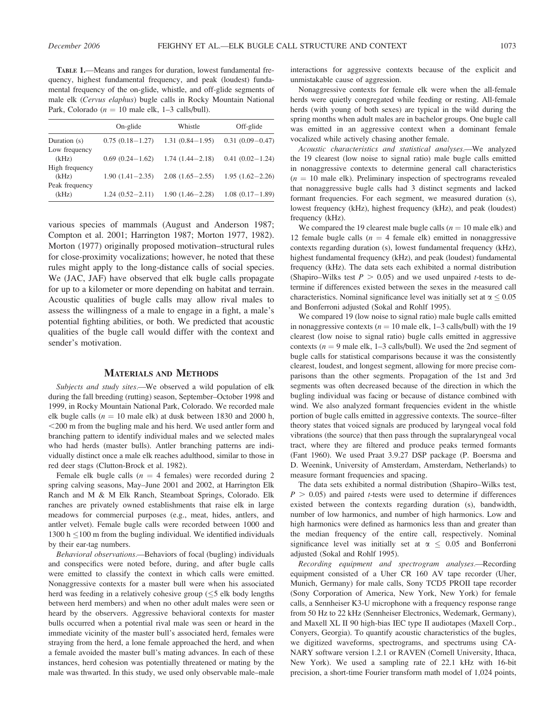TABLE 1.—Means and ranges for duration, lowest fundamental frequency, highest fundamental frequency, and peak (loudest) fundamental frequency of the on-glide, whistle, and off-glide segments of male elk (Cervus elaphus) bugle calls in Rocky Mountain National Park, Colorado ( $n = 10$  male elk, 1–3 calls/bull).

|                         | On-glide            | Whistle             | Off-glide           |  |
|-------------------------|---------------------|---------------------|---------------------|--|
| Duration (s)            | $0.75(0.18-1.27)$   | $1.31(0.84 - 1.95)$ | $0.31(0.09 - 0.47)$ |  |
| Low frequency<br>(kHz)  | $0.69(0.24 - 1.62)$ | $1.74(1.44 - 2.18)$ | $0.41(0.02-1.24)$   |  |
| High frequency<br>(kHz) | $1.90(1.41 - 2.35)$ | $2.08(1.65 - 2.55)$ | $1.95(1.62 - 2.26)$ |  |
| Peak frequency<br>(kHz) | $1.24(0.52 - 2.11)$ | $1.90(1.46 - 2.28)$ | $1.08(0.17-1.89)$   |  |

various species of mammals (August and Anderson 1987; Compton et al. 2001; Harrington 1987; Morton 1977, 1982). Morton (1977) originally proposed motivation–structural rules for close-proximity vocalizations; however, he noted that these rules might apply to the long-distance calls of social species. We (JAC, JAF) have observed that elk bugle calls propagate for up to a kilometer or more depending on habitat and terrain. Acoustic qualities of bugle calls may allow rival males to assess the willingness of a male to engage in a fight, a male's potential fighting abilities, or both. We predicted that acoustic qualities of the bugle call would differ with the context and sender's motivation.

#### MATERIALS AND METHODS

Subjects and study sites.—We observed a wild population of elk during the fall breeding (rutting) season, September–October 1998 and 1999, in Rocky Mountain National Park, Colorado. We recorded male elk bugle calls ( $n = 10$  male elk) at dusk between 1830 and 2000 h,  $<$  200 m from the bugling male and his herd. We used antler form and branching pattern to identify individual males and we selected males who had herds (master bulls). Antler branching patterns are individually distinct once a male elk reaches adulthood, similar to those in red deer stags (Clutton-Brock et al. 1982).

Female elk bugle calls ( $n = 4$  females) were recorded during 2 spring calving seasons, May–June 2001 and 2002, at Harrington Elk Ranch and M & M Elk Ranch, Steamboat Springs, Colorado. Elk ranches are privately owned establishments that raise elk in large meadows for commercial purposes (e.g., meat, hides, antlers, and antler velvet). Female bugle calls were recorded between 1000 and 1300 h  $\leq$ 100 m from the bugling individual. We identified individuals by their ear-tag numbers.

Behavioral observations.—Behaviors of focal (bugling) individuals and conspecifics were noted before, during, and after bugle calls were emitted to classify the context in which calls were emitted. Nonaggressive contexts for a master bull were when his associated herd was feeding in a relatively cohesive group  $(\leq 5 \text{ elk}$  body lengths between herd members) and when no other adult males were seen or heard by the observers. Aggressive behavioral contexts for master bulls occurred when a potential rival male was seen or heard in the immediate vicinity of the master bull's associated herd, females were straying from the herd, a lone female approached the herd, and when a female avoided the master bull's mating advances. In each of these instances, herd cohesion was potentially threatened or mating by the male was thwarted. In this study, we used only observable male–male interactions for aggressive contexts because of the explicit and unmistakable cause of aggression.

Nonaggressive contexts for female elk were when the all-female herds were quietly congregated while feeding or resting. All-female herds (with young of both sexes) are typical in the wild during the spring months when adult males are in bachelor groups. One bugle call was emitted in an aggressive context when a dominant female vocalized while actively chasing another female.

Acoustic characteristics and statistical analyses.—We analyzed the 19 clearest (low noise to signal ratio) male bugle calls emitted in nonaggressive contexts to determine general call characteristics  $(n = 10$  male elk). Preliminary inspection of spectrograms revealed that nonaggressive bugle calls had 3 distinct segments and lacked formant frequencies. For each segment, we measured duration (s), lowest frequency (kHz), highest frequency (kHz), and peak (loudest) frequency (kHz).

We compared the 19 clearest male bugle calls ( $n = 10$  male elk) and 12 female bugle calls ( $n = 4$  female elk) emitted in nonaggressive contexts regarding duration (s), lowest fundamental frequency (kHz), highest fundamental frequency (kHz), and peak (loudest) fundamental frequency (kHz). The data sets each exhibited a normal distribution (Shapiro–Wilks test  $P > 0.05$ ) and we used unpaired *t*-tests to determine if differences existed between the sexes in the measured call characteristics. Nominal significance level was initially set at  $\alpha$  < 0.05 and Bonferroni adjusted (Sokal and Rohlf 1995).

We compared 19 (low noise to signal ratio) male bugle calls emitted in nonaggressive contexts ( $n = 10$  male elk, 1–3 calls/bull) with the 19 clearest (low noise to signal ratio) bugle calls emitted in aggressive contexts ( $n = 9$  male elk, 1–3 calls/bull). We used the 2nd segment of bugle calls for statistical comparisons because it was the consistently clearest, loudest, and longest segment, allowing for more precise comparisons than the other segments. Propagation of the 1st and 3rd segments was often decreased because of the direction in which the bugling individual was facing or because of distance combined with wind. We also analyzed formant frequencies evident in the whistle portion of bugle calls emitted in aggressive contexts. The source–filter theory states that voiced signals are produced by laryngeal vocal fold vibrations (the source) that then pass through the supralaryngeal vocal tract, where they are filtered and produce peaks termed formants (Fant 1960). We used Praat 3.9.27 DSP package (P. Boersma and D. Weenink, University of Amsterdam, Amsterdam, Netherlands) to measure formant frequencies and spacing.

The data sets exhibited a normal distribution (Shapiro–Wilks test,  $P > 0.05$ ) and paired *t*-tests were used to determine if differences existed between the contexts regarding duration (s), bandwidth, number of low harmonics, and number of high harmonics. Low and high harmonics were defined as harmonics less than and greater than the median frequency of the entire call, respectively. Nominal significance level was initially set at  $\alpha \leq 0.05$  and Bonferroni adjusted (Sokal and Rohlf 1995).

Recording equipment and spectrogram analyses.—Recording equipment consisted of a Uher CR 160 AV tape recorder (Uher, Munich, Germany) for male calls, Sony TCD5 PROII tape recorder (Sony Corporation of America, New York, New York) for female calls, a Sennheiser K3-U microphone with a frequency response range from 50 Hz to 22 kHz (Sennheiser Electronics, Wedemark, Germany), and Maxell XL II 90 high-bias IEC type II audiotapes (Maxell Corp., Conyers, Georgia). To quantify acoustic characteristics of the bugles, we digitized waveforms, spectrograms, and spectrums using CA-NARY software version 1.2.1 or RAVEN (Cornell University, Ithaca, New York). We used a sampling rate of 22.1 kHz with 16-bit precision, a short-time Fourier transform math model of 1,024 points,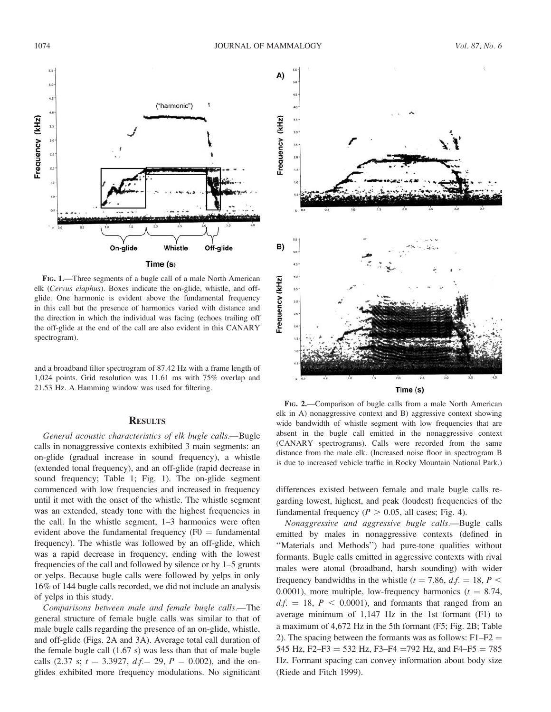

FIG. 1.—Three segments of a bugle call of a male North American elk (Cervus elaphus). Boxes indicate the on-glide, whistle, and offglide. One harmonic is evident above the fundamental frequency in this call but the presence of harmonics varied with distance and the direction in which the individual was facing (echoes trailing off the off-glide at the end of the call are also evident in this CANARY spectrogram).

and a broadband filter spectrogram of 87.42 Hz with a frame length of 1,024 points. Grid resolution was 11.61 ms with 75% overlap and 21.53 Hz. A Hamming window was used for filtering.

## **RESULTS**

General acoustic characteristics of elk bugle calls.—Bugle calls in nonaggressive contexts exhibited 3 main segments: an on-glide (gradual increase in sound frequency), a whistle (extended tonal frequency), and an off-glide (rapid decrease in sound frequency; Table 1; Fig. 1). The on-glide segment commenced with low frequencies and increased in frequency until it met with the onset of the whistle. The whistle segment was an extended, steady tone with the highest frequencies in the call. In the whistle segment, 1–3 harmonics were often evident above the fundamental frequency ( $F0 =$  fundamental frequency). The whistle was followed by an off-glide, which was a rapid decrease in frequency, ending with the lowest frequencies of the call and followed by silence or by 1–5 grunts or yelps. Because bugle calls were followed by yelps in only 16% of 144 bugle calls recorded, we did not include an analysis of yelps in this study.

Comparisons between male and female bugle calls.—The general structure of female bugle calls was similar to that of male bugle calls regarding the presence of an on-glide, whistle, and off-glide (Figs. 2A and 3A). Average total call duration of the female bugle call (1.67 s) was less than that of male bugle calls (2.37 s;  $t = 3.3927$ ,  $df = 29$ ,  $P = 0.002$ ), and the onglides exhibited more frequency modulations. No significant



Time (s)

FIG. 2.—Comparison of bugle calls from a male North American elk in A) nonaggressive context and B) aggressive context showing wide bandwidth of whistle segment with low frequencies that are absent in the bugle call emitted in the nonaggressive context (CANARY spectrograms). Calls were recorded from the same distance from the male elk. (Increased noise floor in spectrogram B is due to increased vehicle traffic in Rocky Mountain National Park.)

differences existed between female and male bugle calls regarding lowest, highest, and peak (loudest) frequencies of the fundamental frequency ( $P > 0.05$ , all cases; Fig. 4).

Nonaggressive and aggressive bugle calls.—Bugle calls emitted by males in nonaggressive contexts (defined in ''Materials and Methods'') had pure-tone qualities without formants. Bugle calls emitted in aggressive contexts with rival males were atonal (broadband, harsh sounding) with wider frequency bandwidths in the whistle ( $t = 7.86$ ,  $df = 18$ ,  $P \le$ 0.0001), more multiple, low-frequency harmonics ( $t = 8.74$ ,  $df. = 18$ ,  $P < 0.0001$ ), and formants that ranged from an average minimum of 1,147 Hz in the 1st formant (F1) to a maximum of 4,672 Hz in the 5th formant (F5; Fig. 2B; Table 2). The spacing between the formants was as follows:  $F1-F2 =$ 545 Hz, F2–F3 = 532 Hz, F3–F4 = 792 Hz, and F4–F5 = 785 Hz. Formant spacing can convey information about body size (Riede and Fitch 1999).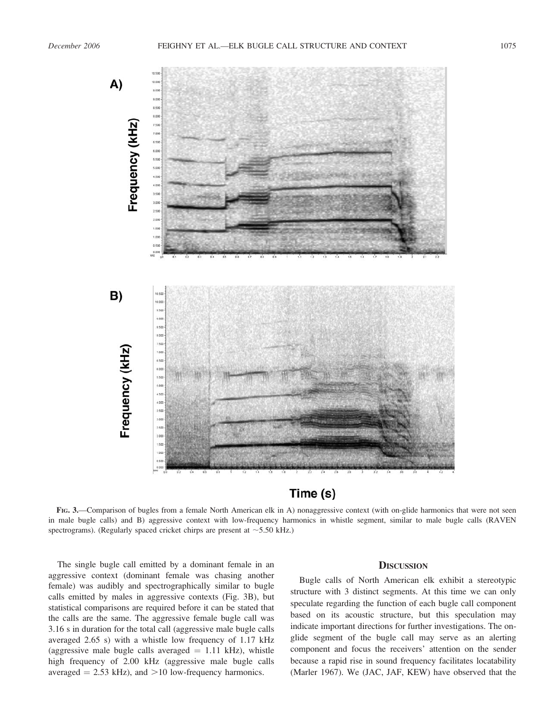

Time (s)

FIG. 3.—Comparison of bugles from a female North American elk in A) nonaggressive context (with on-glide harmonics that were not seen in male bugle calls) and B) aggressive context with low-frequency harmonics in whistle segment, similar to male bugle calls (RAVEN spectrograms). (Regularly spaced cricket chirps are present at  $\sim$  5.50 kHz.)

The single bugle call emitted by a dominant female in an aggressive context (dominant female was chasing another female) was audibly and spectrographically similar to bugle calls emitted by males in aggressive contexts (Fig. 3B), but statistical comparisons are required before it can be stated that the calls are the same. The aggressive female bugle call was 3.16 s in duration for the total call (aggressive male bugle calls averaged 2.65 s) with a whistle low frequency of 1.17 kHz (aggressive male bugle calls averaged  $= 1.11$  kHz), whistle high frequency of 2.00 kHz (aggressive male bugle calls averaged  $= 2.53$  kHz), and  $>10$  low-frequency harmonics.

## **DISCUSSION**

Bugle calls of North American elk exhibit a stereotypic structure with 3 distinct segments. At this time we can only speculate regarding the function of each bugle call component based on its acoustic structure, but this speculation may indicate important directions for further investigations. The onglide segment of the bugle call may serve as an alerting component and focus the receivers' attention on the sender because a rapid rise in sound frequency facilitates locatability (Marler 1967). We (JAC, JAF, KEW) have observed that the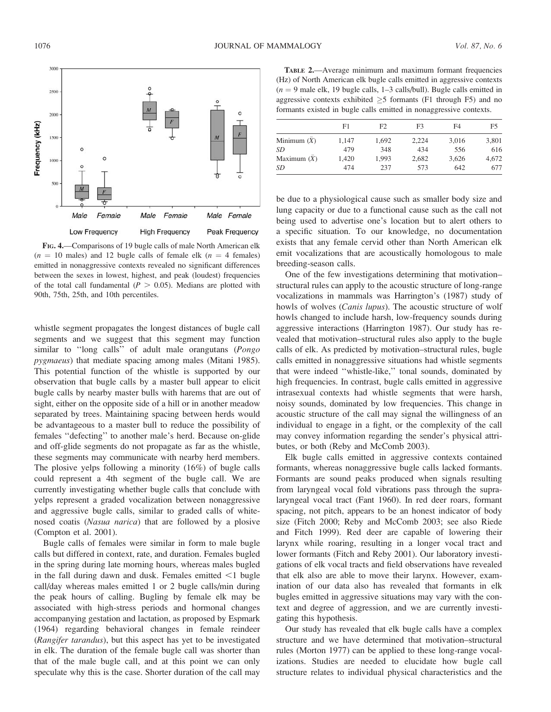

FIG. 4.—Comparisons of 19 bugle calls of male North American elk  $(n = 10 \text{ males})$  and 12 bugle calls of female elk  $(n = 4 \text{ females})$ emitted in nonaggressive contexts revealed no significant differences between the sexes in lowest, highest, and peak (loudest) frequencies of the total call fundamental ( $P > 0.05$ ). Medians are plotted with 90th, 75th, 25th, and 10th percentiles.

whistle segment propagates the longest distances of bugle call segments and we suggest that this segment may function similar to "long calls" of adult male orangutans (Pongo pygmaeus) that mediate spacing among males (Mitani 1985). This potential function of the whistle is supported by our observation that bugle calls by a master bull appear to elicit bugle calls by nearby master bulls with harems that are out of sight, either on the opposite side of a hill or in another meadow separated by trees. Maintaining spacing between herds would be advantageous to a master bull to reduce the possibility of females ''defecting'' to another male's herd. Because on-glide and off-glide segments do not propagate as far as the whistle, these segments may communicate with nearby herd members. The plosive yelps following a minority (16%) of bugle calls could represent a 4th segment of the bugle call. We are currently investigating whether bugle calls that conclude with yelps represent a graded vocalization between nonaggressive and aggressive bugle calls, similar to graded calls of whitenosed coatis (Nasua narica) that are followed by a plosive (Compton et al. 2001).

Bugle calls of females were similar in form to male bugle calls but differed in context, rate, and duration. Females bugled in the spring during late morning hours, whereas males bugled in the fall during dawn and dusk. Females emitted  $\leq 1$  bugle call/day whereas males emitted 1 or 2 bugle calls/min during the peak hours of calling. Bugling by female elk may be associated with high-stress periods and hormonal changes accompanying gestation and lactation, as proposed by Espmark (1964) regarding behavioral changes in female reindeer (Rangifer tarandus), but this aspect has yet to be investigated in elk. The duration of the female bugle call was shorter than that of the male bugle call, and at this point we can only speculate why this is the case. Shorter duration of the call may

TABLE 2.—Average minimum and maximum formant frequencies (Hz) of North American elk bugle calls emitted in aggressive contexts  $(n = 9$  male elk, 19 bugle calls, 1–3 calls/bull). Bugle calls emitted in aggressive contexts exhibited  $\geq$ 5 formants (F1 through F5) and no formants existed in bugle calls emitted in nonaggressive contexts.

|               | F1    | F2    | F3    | F4    | F5    |
|---------------|-------|-------|-------|-------|-------|
| Minimum $(X)$ | 1.147 | 1,692 | 2.224 | 3,016 | 3,801 |
| SD            | 479   | 348   | 434   | 556   | 616   |
| Maximum $(X)$ | 1.420 | 1.993 | 2,682 | 3,626 | 4.672 |
| SD            | 474   | 237   | 573   | 642   | 677   |

be due to a physiological cause such as smaller body size and lung capacity or due to a functional cause such as the call not being used to advertise one's location but to alert others to a specific situation. To our knowledge, no documentation exists that any female cervid other than North American elk emit vocalizations that are acoustically homologous to male breeding-season calls.

One of the few investigations determining that motivation– structural rules can apply to the acoustic structure of long-range vocalizations in mammals was Harrington's (1987) study of howls of wolves (Canis lupus). The acoustic structure of wolf howls changed to include harsh, low-frequency sounds during aggressive interactions (Harrington 1987). Our study has revealed that motivation–structural rules also apply to the bugle calls of elk. As predicted by motivation–structural rules, bugle calls emitted in nonaggressive situations had whistle segments that were indeed ''whistle-like,'' tonal sounds, dominated by high frequencies. In contrast, bugle calls emitted in aggressive intrasexual contexts had whistle segments that were harsh, noisy sounds, dominated by low frequencies. This change in acoustic structure of the call may signal the willingness of an individual to engage in a fight, or the complexity of the call may convey information regarding the sender's physical attributes, or both (Reby and McComb 2003).

Elk bugle calls emitted in aggressive contexts contained formants, whereas nonaggressive bugle calls lacked formants. Formants are sound peaks produced when signals resulting from laryngeal vocal fold vibrations pass through the supralaryngeal vocal tract (Fant 1960). In red deer roars, formant spacing, not pitch, appears to be an honest indicator of body size (Fitch 2000; Reby and McComb 2003; see also Riede and Fitch 1999). Red deer are capable of lowering their larynx while roaring, resulting in a longer vocal tract and lower formants (Fitch and Reby 2001). Our laboratory investigations of elk vocal tracts and field observations have revealed that elk also are able to move their larynx. However, examination of our data also has revealed that formants in elk bugles emitted in aggressive situations may vary with the context and degree of aggression, and we are currently investigating this hypothesis.

Our study has revealed that elk bugle calls have a complex structure and we have determined that motivation–structural rules (Morton 1977) can be applied to these long-range vocalizations. Studies are needed to elucidate how bugle call structure relates to individual physical characteristics and the